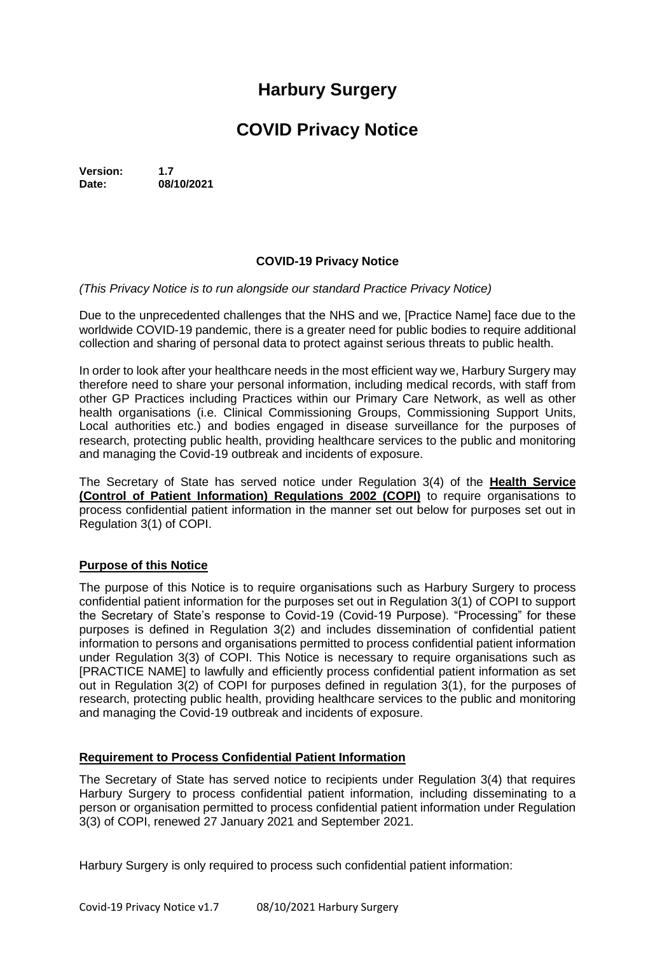# **Harbury Surgery**

## **COVID Privacy Notice**

**Version: 1.7 Date: 08/10/2021**

## **COVID-19 Privacy Notice**

#### *(This Privacy Notice is to run alongside our standard Practice Privacy Notice)*

Due to the unprecedented challenges that the NHS and we, [Practice Name] face due to the worldwide COVID-19 pandemic, there is a greater need for public bodies to require additional collection and sharing of personal data to protect against serious threats to public health.

In order to look after your healthcare needs in the most efficient way we, Harbury Surgery may therefore need to share your personal information, including medical records, with staff from other GP Practices including Practices within our Primary Care Network, as well as other health organisations (i.e. Clinical Commissioning Groups, Commissioning Support Units, Local authorities etc.) and bodies engaged in disease surveillance for the purposes of research, protecting public health, providing healthcare services to the public and monitoring and managing the Covid-19 outbreak and incidents of exposure.

The Secretary of State has served notice under Regulation 3(4) of the **Health Service (Control of Patient Information) Regulations 2002 (COPI)** to require organisations to process confidential patient information in the manner set out below for purposes set out in Regulation 3(1) of COPI.

## **Purpose of this Notice**

The purpose of this Notice is to require organisations such as Harbury Surgery to process confidential patient information for the purposes set out in Regulation 3(1) of COPI to support the Secretary of State's response to Covid-19 (Covid-19 Purpose). "Processing" for these purposes is defined in Regulation 3(2) and includes dissemination of confidential patient information to persons and organisations permitted to process confidential patient information under Regulation 3(3) of COPI. This Notice is necessary to require organisations such as [PRACTICE NAME] to lawfully and efficiently process confidential patient information as set out in Regulation 3(2) of COPI for purposes defined in regulation 3(1), for the purposes of research, protecting public health, providing healthcare services to the public and monitoring and managing the Covid-19 outbreak and incidents of exposure.

#### **Requirement to Process Confidential Patient Information**

The Secretary of State has served notice to recipients under Regulation 3(4) that requires Harbury Surgery to process confidential patient information, including disseminating to a person or organisation permitted to process confidential patient information under Regulation 3(3) of COPI, renewed 27 January 2021 and September 2021.

Harbury Surgery is only required to process such confidential patient information: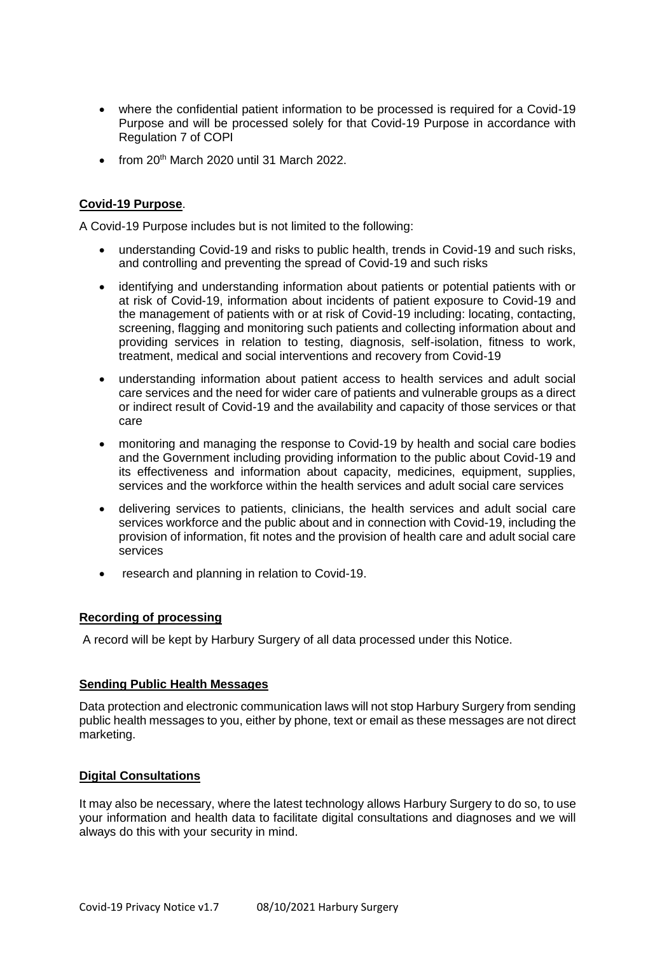- where the confidential patient information to be processed is required for a Covid-19 Purpose and will be processed solely for that Covid-19 Purpose in accordance with Regulation 7 of COPI
- $\bullet$  from 20<sup>th</sup> March 2020 until 31 March 2022.

## **Covid-19 Purpose**.

A Covid-19 Purpose includes but is not limited to the following:

- understanding Covid-19 and risks to public health, trends in Covid-19 and such risks, and controlling and preventing the spread of Covid-19 and such risks
- identifying and understanding information about patients or potential patients with or at risk of Covid-19, information about incidents of patient exposure to Covid-19 and the management of patients with or at risk of Covid-19 including: locating, contacting, screening, flagging and monitoring such patients and collecting information about and providing services in relation to testing, diagnosis, self-isolation, fitness to work, treatment, medical and social interventions and recovery from Covid-19
- understanding information about patient access to health services and adult social care services and the need for wider care of patients and vulnerable groups as a direct or indirect result of Covid-19 and the availability and capacity of those services or that care
- monitoring and managing the response to Covid-19 by health and social care bodies and the Government including providing information to the public about Covid-19 and its effectiveness and information about capacity, medicines, equipment, supplies, services and the workforce within the health services and adult social care services
- delivering services to patients, clinicians, the health services and adult social care services workforce and the public about and in connection with Covid-19, including the provision of information, fit notes and the provision of health care and adult social care services
- research and planning in relation to Covid-19.

#### **Recording of processing**

A record will be kept by Harbury Surgery of all data processed under this Notice.

#### **Sending Public Health Messages**

Data protection and electronic communication laws will not stop Harbury Surgery from sending public health messages to you, either by phone, text or email as these messages are not direct marketing.

#### **Digital Consultations**

It may also be necessary, where the latest technology allows Harbury Surgery to do so, to use your information and health data to facilitate digital consultations and diagnoses and we will always do this with your security in mind.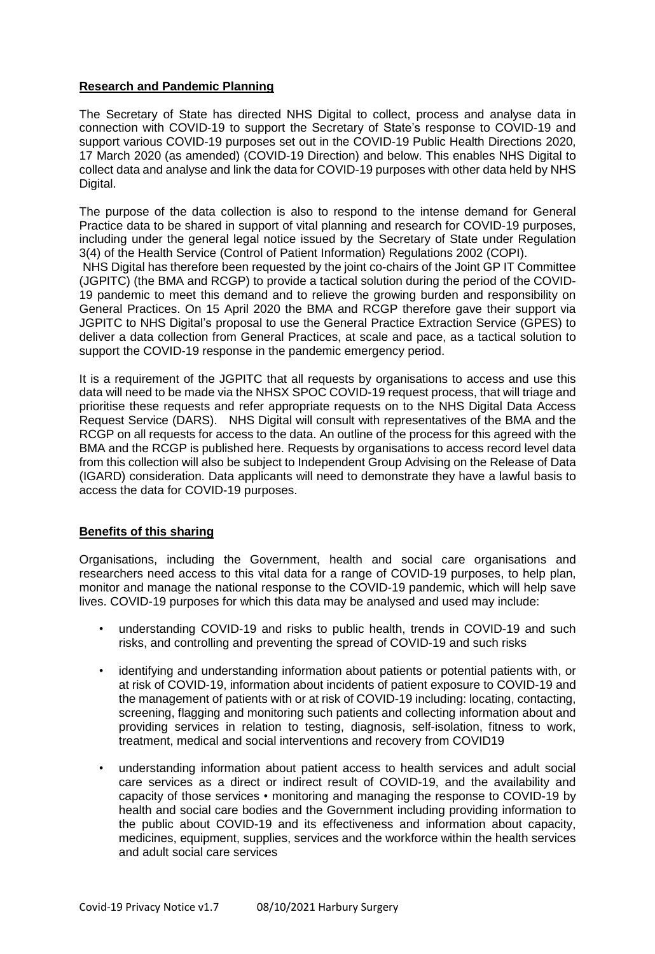## **Research and Pandemic Planning**

The Secretary of State has directed NHS Digital to collect, process and analyse data in connection with COVID-19 to support the Secretary of State's response to COVID-19 and support various COVID-19 purposes set out in the COVID-19 Public Health Directions 2020, 17 March 2020 (as amended) (COVID-19 Direction) and below. This enables NHS Digital to collect data and analyse and link the data for COVID-19 purposes with other data held by NHS Digital.

The purpose of the data collection is also to respond to the intense demand for General Practice data to be shared in support of vital planning and research for COVID-19 purposes, including under the general legal notice issued by the Secretary of State under Regulation 3(4) of the Health Service (Control of Patient Information) Regulations 2002 (COPI).

NHS Digital has therefore been requested by the joint co-chairs of the Joint GP IT Committee (JGPITC) (the BMA and RCGP) to provide a tactical solution during the period of the COVID-19 pandemic to meet this demand and to relieve the growing burden and responsibility on General Practices. On 15 April 2020 the BMA and RCGP therefore gave their support via JGPITC to NHS Digital's proposal to use the General Practice Extraction Service (GPES) to deliver a data collection from General Practices, at scale and pace, as a tactical solution to support the COVID-19 response in the pandemic emergency period.

It is a requirement of the JGPITC that all requests by organisations to access and use this data will need to be made via the NHSX SPOC COVID-19 request process, that will triage and prioritise these requests and refer appropriate requests on to the NHS Digital Data Access Request Service (DARS). NHS Digital will consult with representatives of the BMA and the RCGP on all requests for access to the data. An outline of the process for this agreed with the BMA and the RCGP is published here. Requests by organisations to access record level data from this collection will also be subject to Independent Group Advising on the Release of Data (IGARD) consideration. Data applicants will need to demonstrate they have a lawful basis to access the data for COVID-19 purposes.

#### **Benefits of this sharing**

Organisations, including the Government, health and social care organisations and researchers need access to this vital data for a range of COVID-19 purposes, to help plan, monitor and manage the national response to the COVID-19 pandemic, which will help save lives. COVID-19 purposes for which this data may be analysed and used may include:

- understanding COVID-19 and risks to public health, trends in COVID-19 and such risks, and controlling and preventing the spread of COVID-19 and such risks
- identifying and understanding information about patients or potential patients with, or at risk of COVID-19, information about incidents of patient exposure to COVID-19 and the management of patients with or at risk of COVID-19 including: locating, contacting, screening, flagging and monitoring such patients and collecting information about and providing services in relation to testing, diagnosis, self-isolation, fitness to work, treatment, medical and social interventions and recovery from COVID19
- understanding information about patient access to health services and adult social care services as a direct or indirect result of COVID-19, and the availability and capacity of those services • monitoring and managing the response to COVID-19 by health and social care bodies and the Government including providing information to the public about COVID-19 and its effectiveness and information about capacity, medicines, equipment, supplies, services and the workforce within the health services and adult social care services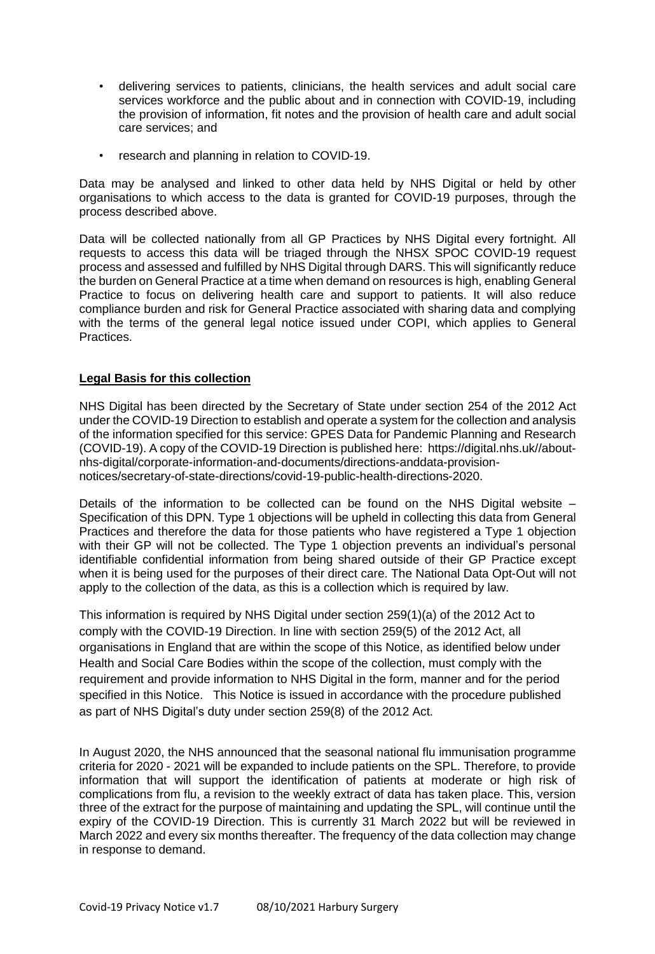- delivering services to patients, clinicians, the health services and adult social care services workforce and the public about and in connection with COVID-19, including the provision of information, fit notes and the provision of health care and adult social care services; and
- research and planning in relation to COVID-19.

Data may be analysed and linked to other data held by NHS Digital or held by other organisations to which access to the data is granted for COVID-19 purposes, through the process described above.

Data will be collected nationally from all GP Practices by NHS Digital every fortnight. All requests to access this data will be triaged through the NHSX SPOC COVID-19 request process and assessed and fulfilled by NHS Digital through DARS. This will significantly reduce the burden on General Practice at a time when demand on resources is high, enabling General Practice to focus on delivering health care and support to patients. It will also reduce compliance burden and risk for General Practice associated with sharing data and complying with the terms of the general legal notice issued under COPI, which applies to General Practices.

## **Legal Basis for this collection**

NHS Digital has been directed by the Secretary of State under section 254 of the 2012 Act under the COVID-19 Direction to establish and operate a system for the collection and analysis of the information specified for this service: GPES Data for Pandemic Planning and Research (COVID-19). A copy of the COVID-19 Direction is published here: https://digital.nhs.uk//aboutnhs-digital/corporate-information-and-documents/directions-anddata-provisionnotices/secretary-of-state-directions/covid-19-public-health-directions-2020.

Details of the information to be collected can be found on the NHS Digital website – Specification of this DPN. Type 1 objections will be upheld in collecting this data from General Practices and therefore the data for those patients who have registered a Type 1 objection with their GP will not be collected. The Type 1 objection prevents an individual's personal identifiable confidential information from being shared outside of their GP Practice except when it is being used for the purposes of their direct care. The National Data Opt-Out will not apply to the collection of the data, as this is a collection which is required by law.

This information is required by NHS Digital under section 259(1)(a) of the 2012 Act to comply with the COVID-19 Direction. In line with section 259(5) of the 2012 Act, all organisations in England that are within the scope of this Notice, as identified below under Health and Social Care Bodies within the scope of the collection, must comply with the requirement and provide information to NHS Digital in the form, manner and for the period specified in this Notice. This Notice is issued in accordance with the procedure published as part of NHS Digital's duty under section 259(8) of the 2012 Act.

In August 2020, the NHS announced that the seasonal national flu immunisation programme criteria for 2020 - 2021 will be expanded to include patients on the SPL. Therefore, to provide information that will support the identification of patients at moderate or high risk of complications from flu, a revision to the weekly extract of data has taken place. This, version three of the extract for the purpose of maintaining and updating the SPL, will continue until the expiry of the COVID-19 Direction. This is currently 31 March 2022 but will be reviewed in March 2022 and every six months thereafter. The frequency of the data collection may change in response to demand.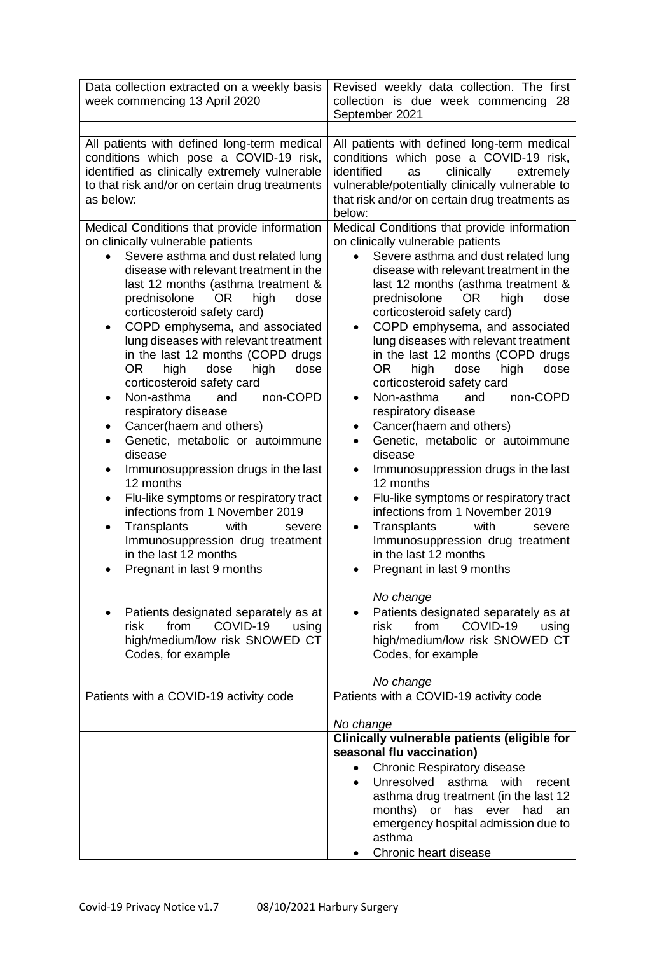| Data collection extracted on a weekly basis<br>week commencing 13 April 2020                                                                                                                                                                                                                                                                                                                                                                                                                                                                                                                                                                                                                                                                                                                                                                                                                                           | Revised weekly data collection. The first<br>collection is due week commencing<br>28<br>September 2021                                                                                                                                                                                                                                                                                                                                                                                                                                                                                                                                                                                                                                                                                                                                                                                                            |
|------------------------------------------------------------------------------------------------------------------------------------------------------------------------------------------------------------------------------------------------------------------------------------------------------------------------------------------------------------------------------------------------------------------------------------------------------------------------------------------------------------------------------------------------------------------------------------------------------------------------------------------------------------------------------------------------------------------------------------------------------------------------------------------------------------------------------------------------------------------------------------------------------------------------|-------------------------------------------------------------------------------------------------------------------------------------------------------------------------------------------------------------------------------------------------------------------------------------------------------------------------------------------------------------------------------------------------------------------------------------------------------------------------------------------------------------------------------------------------------------------------------------------------------------------------------------------------------------------------------------------------------------------------------------------------------------------------------------------------------------------------------------------------------------------------------------------------------------------|
| All patients with defined long-term medical<br>conditions which pose a COVID-19 risk,<br>identified as clinically extremely vulnerable<br>to that risk and/or on certain drug treatments<br>as below:                                                                                                                                                                                                                                                                                                                                                                                                                                                                                                                                                                                                                                                                                                                  | All patients with defined long-term medical<br>conditions which pose a COVID-19 risk,<br>identified<br>clinically<br>as<br>extremely<br>vulnerable/potentially clinically vulnerable to<br>that risk and/or on certain drug treatments as<br>below:                                                                                                                                                                                                                                                                                                                                                                                                                                                                                                                                                                                                                                                               |
| Medical Conditions that provide information<br>on clinically vulnerable patients<br>Severe asthma and dust related lung<br>$\bullet$<br>disease with relevant treatment in the<br>last 12 months (asthma treatment &<br>prednisolone<br>OR.<br>high<br>dose<br>corticosteroid safety card)<br>COPD emphysema, and associated<br>٠<br>lung diseases with relevant treatment<br>in the last 12 months (COPD drugs<br>OR.<br>dose<br>dose<br>high<br>high<br>corticosteroid safety card<br>Non-asthma<br>non-COPD<br>and<br>respiratory disease<br>Cancer(haem and others)<br>٠<br>Genetic, metabolic or autoimmune<br>$\bullet$<br>disease<br>Immunosuppression drugs in the last<br>$\bullet$<br>12 months<br>Flu-like symptoms or respiratory tract<br>infections from 1 November 2019<br>Transplants<br>with<br>severe<br>٠<br>Immunosuppression drug treatment<br>in the last 12 months<br>Pregnant in last 9 months | Medical Conditions that provide information<br>on clinically vulnerable patients<br>Severe asthma and dust related lung<br>$\bullet$<br>disease with relevant treatment in the<br>last 12 months (asthma treatment &<br>prednisolone<br>OR.<br>high<br>dose<br>corticosteroid safety card)<br>COPD emphysema, and associated<br>lung diseases with relevant treatment<br>in the last 12 months (COPD drugs<br>OR.<br>dose<br>dose<br>high<br>high<br>corticosteroid safety card<br>Non-asthma<br>non-COPD<br>and<br>$\bullet$<br>respiratory disease<br>Cancer(haem and others)<br>٠<br>Genetic, metabolic or autoimmune<br>disease<br>Immunosuppression drugs in the last<br>$\bullet$<br>12 months<br>Flu-like symptoms or respiratory tract<br>infections from 1 November 2019<br>Transplants<br>with<br>severe<br>٠<br>Immunosuppression drug treatment<br>in the last 12 months<br>Pregnant in last 9 months |
| Patients designated separately as at<br>$\bullet$<br>from<br>COVID-19<br>risk<br>using<br>high/medium/low risk SNOWED CT<br>Codes, for example                                                                                                                                                                                                                                                                                                                                                                                                                                                                                                                                                                                                                                                                                                                                                                         | No change<br>Patients designated separately as at<br>$\bullet$<br>from<br>COVID-19<br>risk<br>using<br>high/medium/low risk SNOWED CT<br>Codes, for example                                                                                                                                                                                                                                                                                                                                                                                                                                                                                                                                                                                                                                                                                                                                                       |
| Patients with a COVID-19 activity code                                                                                                                                                                                                                                                                                                                                                                                                                                                                                                                                                                                                                                                                                                                                                                                                                                                                                 | No change<br>Patients with a COVID-19 activity code                                                                                                                                                                                                                                                                                                                                                                                                                                                                                                                                                                                                                                                                                                                                                                                                                                                               |
|                                                                                                                                                                                                                                                                                                                                                                                                                                                                                                                                                                                                                                                                                                                                                                                                                                                                                                                        | No change<br>Clinically vulnerable patients (eligible for<br>seasonal flu vaccination)<br><b>Chronic Respiratory disease</b><br>$\bullet$<br>Unresolved<br>asthma<br>with<br>recent<br>$\bullet$<br>asthma drug treatment (in the last 12<br>months)<br>has<br>or<br>ever<br>had<br>an<br>emergency hospital admission due to<br>asthma<br>Chronic heart disease                                                                                                                                                                                                                                                                                                                                                                                                                                                                                                                                                  |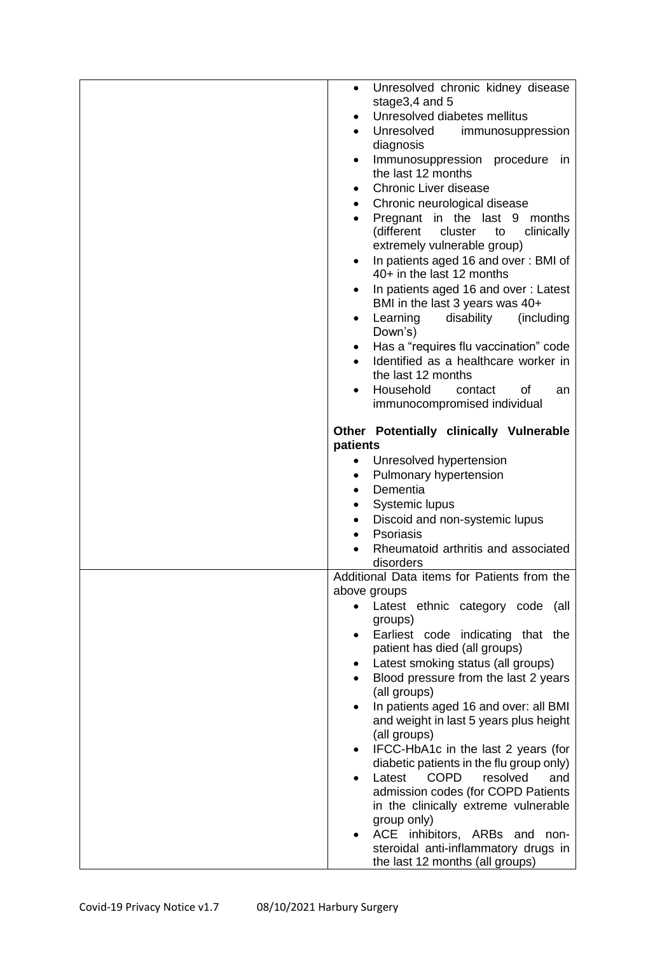| Unresolved chronic kidney disease<br>$\bullet$                                       |
|--------------------------------------------------------------------------------------|
| stage3,4 and 5<br>Unresolved diabetes mellitus<br>$\bullet$                          |
| Unresolved<br>$\bullet$                                                              |
| immunosuppression<br>diagnosis                                                       |
| Immunosuppression procedure<br>in<br>$\bullet$<br>the last 12 months                 |
| <b>Chronic Liver disease</b>                                                         |
| $\bullet$<br>Chronic neurological disease<br>$\bullet$                               |
| Pregnant in the last 9<br>months                                                     |
| (different<br>cluster<br>clinically<br>to<br>extremely vulnerable group)             |
| In patients aged 16 and over: BMI of<br>$\bullet$<br>40+ in the last 12 months       |
| In patients aged 16 and over: Latest                                                 |
| BMI in the last 3 years was 40+<br>Learning<br>disability<br>(including<br>$\bullet$ |
| Down's)                                                                              |
| Has a "requires flu vaccination" code<br>$\bullet$                                   |
| Identified as a healthcare worker in<br>the last 12 months                           |
| Household<br>contact<br>οf<br>an                                                     |
| immunocompromised individual                                                         |
| Other Potentially clinically Vulnerable                                              |
| patients<br>Unresolved hypertension                                                  |
| Pulmonary hypertension<br>٠                                                          |
| Dementia<br>$\bullet$                                                                |
| <b>Systemic lupus</b>                                                                |
| Discoid and non-systemic lupus<br>$\bullet$                                          |
| Psoriasis                                                                            |
| Rheumatoid arthritis and associated                                                  |
| disorders                                                                            |
| Additional Data items for Patients from the<br>above groups                          |
| Latest ethnic category code (all                                                     |
| groups)                                                                              |
| Earliest code indicating that the<br>$\bullet$                                       |
| patient has died (all groups)                                                        |
| Latest smoking status (all groups)                                                   |
| Blood pressure from the last 2 years                                                 |
| (all groups)                                                                         |
| In patients aged 16 and over: all BMI<br>and weight in last 5 years plus height      |
| (all groups)                                                                         |
| IFCC-HbA1c in the last 2 years (for<br>٠                                             |
| diabetic patients in the flu group only)                                             |
| <b>COPD</b><br>Latest<br>resolved<br>and                                             |
| admission codes (for COPD Patients                                                   |
| in the clinically extreme vulnerable<br>group only)                                  |
|                                                                                      |
| $\bullet$                                                                            |
| ACE inhibitors, ARBs and non-<br>steroidal anti-inflammatory drugs in                |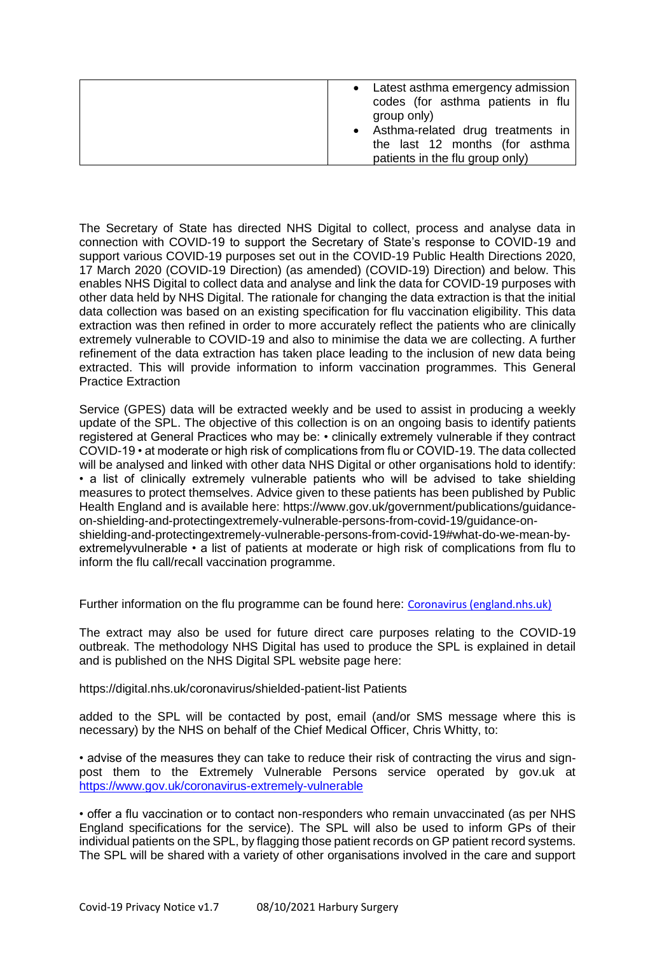| • Latest asthma emergency admission<br>codes (for asthma patients in flu<br>group only)<br>• Asthma-related drug treatments in<br>the last 12 months (for asthma |
|------------------------------------------------------------------------------------------------------------------------------------------------------------------|
| patients in the flu group only)                                                                                                                                  |

The Secretary of State has directed NHS Digital to collect, process and analyse data in connection with COVID-19 to support the Secretary of State's response to COVID-19 and support various COVID-19 purposes set out in the COVID-19 Public Health Directions 2020, 17 March 2020 (COVID-19 Direction) (as amended) (COVID-19) Direction) and below. This enables NHS Digital to collect data and analyse and link the data for COVID-19 purposes with other data held by NHS Digital. The rationale for changing the data extraction is that the initial data collection was based on an existing specification for flu vaccination eligibility. This data extraction was then refined in order to more accurately reflect the patients who are clinically extremely vulnerable to COVID-19 and also to minimise the data we are collecting. A further refinement of the data extraction has taken place leading to the inclusion of new data being extracted. This will provide information to inform vaccination programmes. This General Practice Extraction

Service (GPES) data will be extracted weekly and be used to assist in producing a weekly update of the SPL. The objective of this collection is on an ongoing basis to identify patients registered at General Practices who may be: • clinically extremely vulnerable if they contract COVID-19 • at moderate or high risk of complications from flu or COVID-19. The data collected will be analysed and linked with other data NHS Digital or other organisations hold to identify: • a list of clinically extremely vulnerable patients who will be advised to take shielding measures to protect themselves. Advice given to these patients has been published by Public Health England and is available here: https://www.gov.uk/government/publications/guidanceon-shielding-and-protectingextremely-vulnerable-persons-from-covid-19/guidance-onshielding-and-protectingextremely-vulnerable-persons-from-covid-19#what-do-we-mean-byextremelyvulnerable • a list of patients at moderate or high risk of complications from flu to inform the flu call/recall vaccination programme.

Further information on the flu programme can be found here: [Coronavirus \(england.nhs.uk\)](https://www.england.nhs.uk/coronavirus/)

The extract may also be used for future direct care purposes relating to the COVID-19 outbreak. The methodology NHS Digital has used to produce the SPL is explained in detail and is published on the NHS Digital SPL website page here:

https://digital.nhs.uk/coronavirus/shielded-patient-list Patients

added to the SPL will be contacted by post, email (and/or SMS message where this is necessary) by the NHS on behalf of the Chief Medical Officer, Chris Whitty, to:

• advise of the measures they can take to reduce their risk of contracting the virus and signpost them to the Extremely Vulnerable Persons service operated by gov.uk at <https://www.gov.uk/coronavirus-extremely-vulnerable>

• offer a flu vaccination or to contact non-responders who remain unvaccinated (as per NHS England specifications for the service). The SPL will also be used to inform GPs of their individual patients on the SPL, by flagging those patient records on GP patient record systems. The SPL will be shared with a variety of other organisations involved in the care and support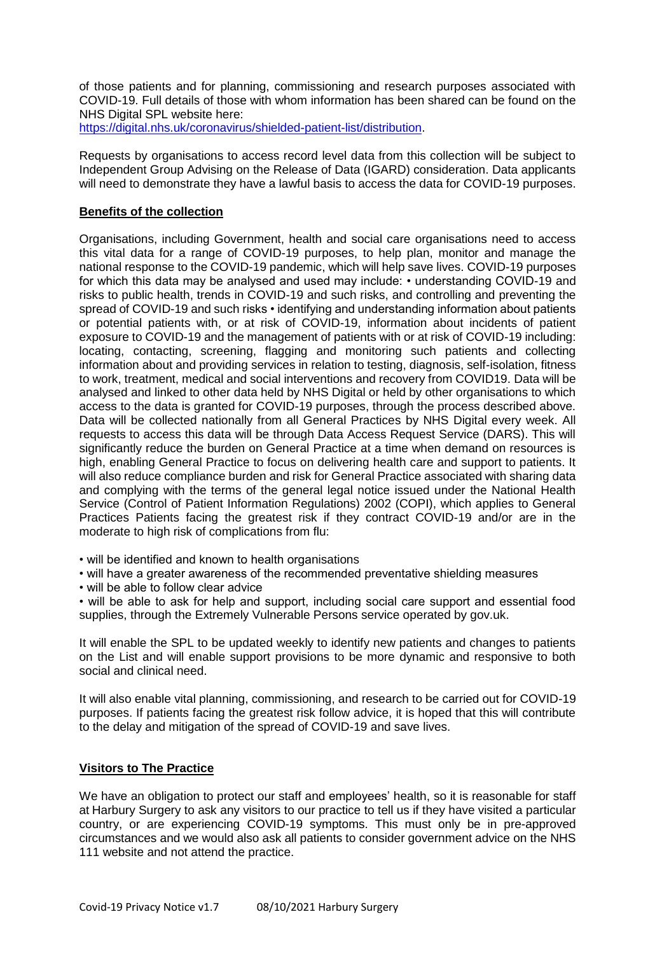of those patients and for planning, commissioning and research purposes associated with COVID-19. Full details of those with whom information has been shared can be found on the NHS Digital SPL website here:

[https://digital.nhs.uk/coronavirus/shielded-patient-list/distribution.](https://digital.nhs.uk/coronavirus/shielded-patient-list/distribution)

Requests by organisations to access record level data from this collection will be subject to Independent Group Advising on the Release of Data (IGARD) consideration. Data applicants will need to demonstrate they have a lawful basis to access the data for COVID-19 purposes.

## **Benefits of the collection**

Organisations, including Government, health and social care organisations need to access this vital data for a range of COVID-19 purposes, to help plan, monitor and manage the national response to the COVID-19 pandemic, which will help save lives. COVID-19 purposes for which this data may be analysed and used may include: • understanding COVID-19 and risks to public health, trends in COVID-19 and such risks, and controlling and preventing the spread of COVID-19 and such risks • identifying and understanding information about patients or potential patients with, or at risk of COVID-19, information about incidents of patient exposure to COVID-19 and the management of patients with or at risk of COVID-19 including: locating, contacting, screening, flagging and monitoring such patients and collecting information about and providing services in relation to testing, diagnosis, self-isolation, fitness to work, treatment, medical and social interventions and recovery from COVID19. Data will be analysed and linked to other data held by NHS Digital or held by other organisations to which access to the data is granted for COVID-19 purposes, through the process described above. Data will be collected nationally from all General Practices by NHS Digital every week. All requests to access this data will be through Data Access Request Service (DARS). This will significantly reduce the burden on General Practice at a time when demand on resources is high, enabling General Practice to focus on delivering health care and support to patients. It will also reduce compliance burden and risk for General Practice associated with sharing data and complying with the terms of the general legal notice issued under the National Health Service (Control of Patient Information Regulations) 2002 (COPI), which applies to General Practices Patients facing the greatest risk if they contract COVID-19 and/or are in the moderate to high risk of complications from flu:

- will be identified and known to health organisations
- will have a greater awareness of the recommended preventative shielding measures
- will be able to follow clear advice

• will be able to ask for help and support, including social care support and essential food supplies, through the Extremely Vulnerable Persons service operated by gov.uk.

It will enable the SPL to be updated weekly to identify new patients and changes to patients on the List and will enable support provisions to be more dynamic and responsive to both social and clinical need.

It will also enable vital planning, commissioning, and research to be carried out for COVID-19 purposes. If patients facing the greatest risk follow advice, it is hoped that this will contribute to the delay and mitigation of the spread of COVID-19 and save lives.

#### **Visitors to The Practice**

We have an obligation to protect our staff and employees' health, so it is reasonable for staff at Harbury Surgery to ask any visitors to our practice to tell us if they have visited a particular country, or are experiencing COVID-19 symptoms. This must only be in pre-approved circumstances and we would also ask all patients to consider government advice on the NHS 111 website and not attend the practice.